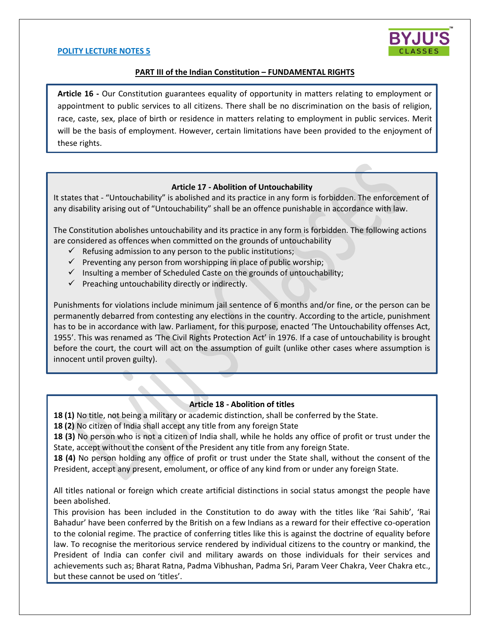#### **POLITY LECTURE NOTES 5**



### **PART III of the Indian Constitution – FUNDAMENTAL RIGHTS**

**Article 16 -** Our Constitution guarantees equality of opportunity in matters relating to employment or appointment to public services to all citizens. There shall be no discrimination on the basis of religion, race, caste, sex, place of birth or residence in matters relating to employment in public services. Merit will be the basis of employment. However, certain limitations have been provided to the enjoyment of these rights.

### **Article 17 - Abolition of Untouchability**

It states that - "Untouchability" is abolished and its practice in any form is forbidden. The enforcement of any disability arising out of "Untouchability" shall be an offence punishable in accordance with law.

The Constitution abolishes untouchability and its practice in any form is forbidden. The following actions are considered as offences when committed on the grounds of untouchability

- $\checkmark$  Refusing admission to any person to the public institutions;
- $\checkmark$  Preventing any person from worshipping in place of public worship;
- $\checkmark$  Insulting a member of Scheduled Caste on the grounds of untouchability;
- $\checkmark$  Preaching untouchability directly or indirectly.

Punishments for violations include minimum jail sentence of 6 months and/or fine, or the person can be permanently debarred from contesting any elections in the country. According to the article, punishment has to be in accordance with law. Parliament, for this purpose, enacted 'The Untouchability offenses Act, 1955'. This was renamed as 'The Civil Rights Protection Act' in 1976. If a case of untouchability is brought before the court, the court will act on the assumption of guilt (unlike other cases where assumption is innocent until proven guilty).

#### **Article 18 - Abolition of titles**

**18 (1)** No title, not being a military or academic distinction, shall be conferred by the State.

**18 (2)** No citizen of India shall accept any title from any foreign State

**18 (3)** No person who is not a citizen of India shall, while he holds any office of profit or trust under the State, accept without the consent of the President any title from any foreign State.

**18 (4)** No person holding any office of profit or trust under the State shall, without the consent of the President, accept any present, emolument, or office of any kind from or under any foreign State.

All titles national or foreign which create artificial distinctions in social status amongst the people have been abolished.

This provision has been included in the Constitution to do away with the titles like 'Rai Sahib', 'Rai Bahadur' have been conferred by the British on a few Indians as a reward for their effective co-operation to the colonial regime. The practice of conferring titles like this is against the doctrine of equality before law. To recognise the meritorious service rendered by individual citizens to the country or mankind, the President of India can confer civil and military awards on those individuals for their services and achievements such as; Bharat Ratna, Padma Vibhushan, Padma Sri, Param Veer Chakra, Veer Chakra etc., but these cannot be used on 'titles'.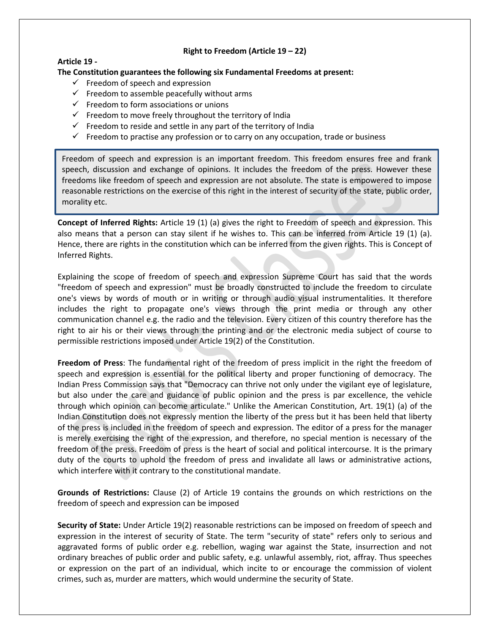## **Right to Freedom (Article 19 – 22)**

## **Article 19 -**

**The Constitution guarantees the following six Fundamental Freedoms at present:**

- $\checkmark$  Freedom of speech and expression
- $\checkmark$  Freedom to assemble peacefully without arms
- $\checkmark$  Freedom to form associations or unions
- $\checkmark$  Freedom to move freely throughout the territory of India
- $\checkmark$  Freedom to reside and settle in any part of the territory of India
- $\checkmark$  Freedom to practise any profession or to carry on any occupation, trade or business

Freedom of speech and expression is an important freedom. This freedom ensures free and frank speech, discussion and exchange of opinions. It includes the freedom of the press. However these freedoms like freedom of speech and expression are not absolute. The state is empowered to impose reasonable restrictions on the exercise of this right in the interest of security of the state, public order, morality etc.

**Concept of Inferred Rights:** Article 19 (1) (a) gives the right to Freedom of speech and expression. This also means that a person can stay silent if he wishes to. This can be inferred from Article 19 (1) (a). Hence, there are rights in the constitution which can be inferred from the given rights. This is Concept of Inferred Rights.

Explaining the scope of freedom of speech and expression Supreme Court has said that the words "freedom of speech and expression" must be broadly constructed to include the freedom to circulate one's views by words of mouth or in writing or through audio visual instrumentalities. It therefore includes the right to propagate one's views through the print media or through any other communication channel e.g. the radio and the television. Every citizen of this country therefore has the right to air his or their views through the printing and or the electronic media subject of course to permissible restrictions imposed under Article 19(2) of the Constitution.

**Freedom of Press**: The fundamental right of the freedom of press implicit in the right the freedom of speech and expression is essential for the political liberty and proper functioning of democracy. The Indian Press Commission says that "Democracy can thrive not only under the vigilant eye of legislature, but also under the care and guidance of public opinion and the press is par excellence, the vehicle through which opinion can become articulate." Unlike the American Constitution, Art. 19(1) (a) of the Indian Constitution does not expressly mention the liberty of the press but it has been held that liberty of the press is included in the freedom of speech and expression. The editor of a press for the manager is merely exercising the right of the expression, and therefore, no special mention is necessary of the freedom of the press. Freedom of press is the heart of social and political intercourse. It is the primary duty of the courts to uphold the freedom of press and invalidate all laws or administrative actions, which interfere with it contrary to the constitutional mandate.

**Grounds of Restrictions:** Clause (2) of Article 19 contains the grounds on which restrictions on the freedom of speech and expression can be imposed

**Security of State:** Under Article 19(2) reasonable restrictions can be imposed on freedom of speech and expression in the interest of security of State. The term "security of state" refers only to serious and aggravated forms of public order e.g. rebellion, waging war against the State, insurrection and not ordinary breaches of public order and public safety, e.g. unlawful assembly, riot, affray. Thus speeches or expression on the part of an individual, which incite to or encourage the commission of violent crimes, such as, murder are matters, which would undermine the security of State.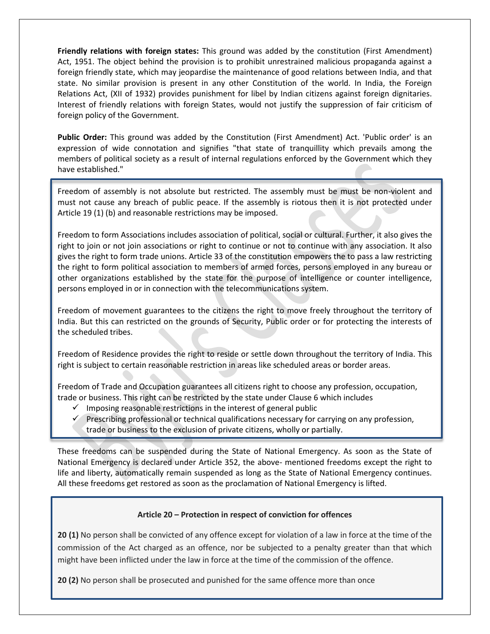**Friendly relations with foreign states:** This ground was added by the constitution (First Amendment) Act, 1951. The object behind the provision is to prohibit unrestrained malicious propaganda against a foreign friendly state, which may jeopardise the maintenance of good relations between India, and that state. No similar provision is present in any other Constitution of the world. In India, the Foreign Relations Act, (XII of 1932) provides punishment for libel by Indian citizens against foreign dignitaries. Interest of friendly relations with foreign States, would not justify the suppression of fair criticism of foreign policy of the Government.

**Public Order:** This ground was added by the Constitution (First Amendment) Act. 'Public order' is an expression of wide connotation and signifies "that state of tranquillity which prevails among the members of political society as a result of internal regulations enforced by the Government which they have established."

Freedom of assembly is not absolute but restricted. The assembly must be must be non-violent and must not cause any breach of public peace. If the assembly is riotous then it is not protected under Article 19 (1) (b) and reasonable restrictions may be imposed.

Freedom to form Associations includes association of political, social or cultural. Further, it also gives the right to join or not join associations or right to continue or not to continue with any association. It also gives the right to form trade unions. Article 33 of the constitution empowers the to pass a law restricting the right to form political association to members of armed forces, persons employed in any bureau or other organizations established by the state for the purpose of intelligence or counter intelligence, persons employed in or in connection with the telecommunications system.

Freedom of movement guarantees to the citizens the right to move freely throughout the territory of India. But this can restricted on the grounds of Security, Public order or for protecting the interests of the scheduled tribes.

Freedom of Residence provides the right to reside or settle down throughout the territory of India. This right is subject to certain reasonable restriction in areas like scheduled areas or border areas.

Freedom of Trade and Occupation guarantees all citizens right to choose any profession, occupation, trade or business. This right can be restricted by the state under Clause 6 which includes

- $\checkmark$  Imposing reasonable restrictions in the interest of general public
- $\checkmark$  Prescribing professional or technical qualifications necessary for carrying on any profession, trade or business to the exclusion of private citizens, wholly or partially.

These freedoms can be suspended during the State of National Emergency. As soon as the State of National Emergency is declared under Article 352, the above- mentioned freedoms except the right to life and liberty, automatically remain suspended as long as the State of National Emergency continues. All these freedoms get restored as soon as the proclamation of National Emergency is lifted.

# **Article 20 – Protection in respect of conviction for offences**

**20 (1)** No person shall be convicted of any offence except for violation of a law in force at the time of the commission of the Act charged as an offence, nor be subjected to a penalty greater than that which might have been inflicted under the law in force at the time of the commission of the offence.

**20 (2)** No person shall be prosecuted and punished for the same offence more than once